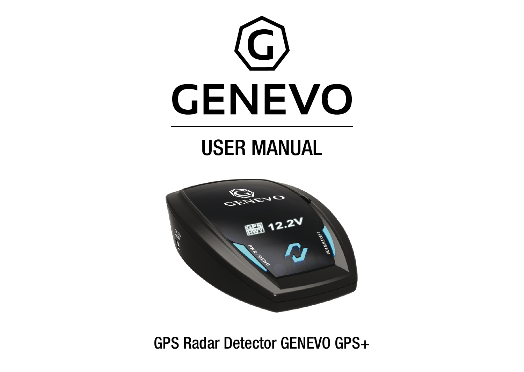

# USER MANUAL



GPS Radar Detector GENEVO GPS+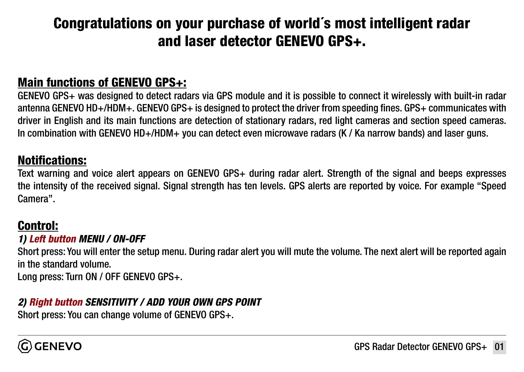# Congratulations on your purchase of world´s most intelligent radar and laser detector GENEVO GPS+.

#### Main functions of GENEVO GPS+:

GENEVO GPS+ was designed to detect radars via GPS module and it is possible to connect it wirelessly with built-in radar antenna GENEVO HD+/HDM+. GENEVO GPS+ is designed to protect the driver from speeding fines. GPS+ communicates with driver in English and its main functions are detection of stationary radars, red light cameras and section speed cameras. In combination with GENEVO HD+/HDM+ you can detect even microwave radars (K / Ka narrow bands) and laser guns.

#### Notifications:

Text warning and voice alert appears on GENEVO GPS+ during radar alert. Strength of the signal and beeps expresses the intensity of the received signal. Signal strength has ten levels. GPS alerts are reported by voice. For example "Speed Camera".

#### Control:

#### *1) Left button MENU / ON-OFF*

Short press: You will enter the setup menu. During radar alert you will mute the volume. The next alert will be reported again in the standard volume.

Long press: Turn ON / OFF GENEVO GPS+.

#### *2) Right button SENSITIVITY / ADD YOUR OWN GPS POINT*

Short press: You can change volume of GENEVO GPS+.

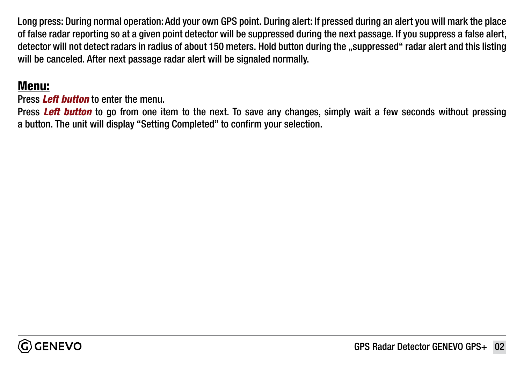Long press: During normal operation: Add your own GPS point. During alert: If pressed during an alert you will mark the place of false radar reporting so at a given point detector will be suppressed during the next passage. If you suppress a false alert, detector will not detect radars in radius of about 150 meters. Hold button during the "suppressed" radar alert and this listing will be canceled. After next passage radar alert will be signaled normally.

#### Menu:

Press *Left button* to enter the menu.

Press *Left button* to go from one item to the next. To save any changes, simply wait a few seconds without pressing a button. The unit will display "Setting Completed" to confirm your selection.

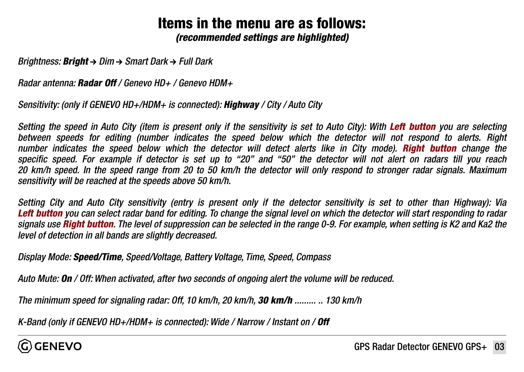## Items in the menu are as follows:

*(recommended settings are highlighted)*

*Brightness: Bright → Dim → Smart Dark → Full Dark* 

*Radar antenna: Radar Off / Genevo HD+ / Genevo HDM+*

*Sensitivity: (only if GENEVO HD+/HDM+ is connected): Highway / City / Auto City*

*Setting the speed in Auto City (item is present only if the sensitivity is set to Auto City): With Left button you are selecting between speeds for editing (number indicates the speed below which the detector will not respond to alerts. Right number indicates the speed below which the detector will detect alerts like in City mode). Right button change the specific speed. For example if detector is set up to "20" and "50" the detector will not alert on radars till you reach 20 km/h speed. In the speed range from 20 to 50 km/h the detector will only respond to stronger radar signals. Maximum sensitivity will be reached at the speeds above 50 km/h.*

*Setting City and Auto City sensitivity (entry is present only if the detector sensitivity is set to other than Highway): Via Left button you can select radar band for editing. To change the signal level on which the detector will start responding to radar signals use Right button. The level of suppression can be selected in the range 0-9. For example, when setting is K2 and Ka2 the level of detection in all bands are slightly decreased.*

*Display Mode: Speed/Time, Speed/Voltage, Battery Voltage, Time, Speed, Compass*

*Auto Mute: On / Off: When activated, after two seconds of ongoing alert the volume will be reduced.*

*The minimum speed for signaling radar: Off, 10 km/h, 20 km/h, 30 km/h ......... .. 130 km/h*

*K-Band (only if GENEVO HD+/HDM+ is connected): Wide / Narrow / Instant on / Off* 

ີດ) GENEVO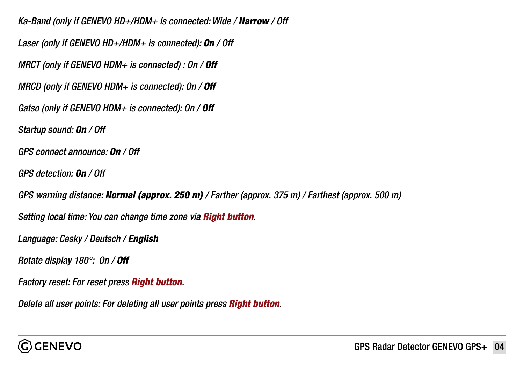*Ka-Band (only if GENEVO HD+/HDM+ is connected: Wide / Narrow / Off Laser (only if GENEVO HD+/HDM+ is connected): On / Off MRCT (only if GENEVO HDM+ is connected) : On / Off MRCD (only if GENEVO HDM+ is connected): On / Off Gatso (only if GENEVO HDM+ is connected): On / Off Startup sound: On / Off GPS connect announce: On / Off GPS detection: On / Off GPS warning distance: Normal (approx. 250 m) / Farther (approx. 375 m) / Farthest (approx. 500 m) Setting local time: You can change time zone via Right button. Language: Cesky / Deutsch / English Rotate display 180°: On / Off Factory reset: For reset press Right button. Delete all user points: For deleting all user points press Right button.*

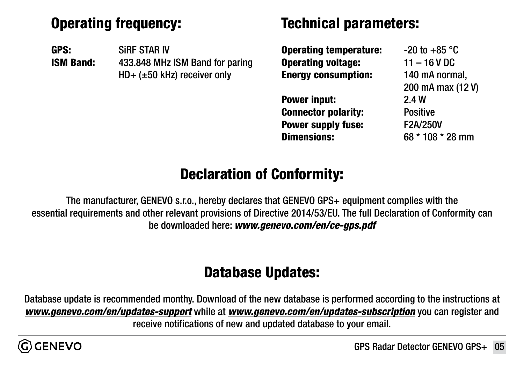## Operating frequency:

GPS: SiRF STAR IV ISM Band: 433.848 MHz ISM Band for paring HD+ (±50 kHz) receiver only

#### Technical parameters:

| <b>Operating temperature:</b> | $-20$ to $+85$ °C |
|-------------------------------|-------------------|
| <b>Operating voltage:</b>     | $11 - 16$ V DC    |
| <b>Energy consumption:</b>    | 140 mA normal,    |
|                               | 200 mA max (12 V) |
| Power input:                  | 2.4W              |
| <b>Connector polarity:</b>    | <b>Positive</b>   |
| Power supply fuse:            | F2A/250V          |
| <b>Dimensions:</b>            | 68 * 108 * 28 mm  |
|                               |                   |

## Declaration of Conformity:

The manufacturer, GENEVO s.r.o., hereby declares that GENEVO GPS+ equipment complies with the essential requirements and other relevant provisions of Directive 2014/53/EU. The full Declaration of Conformity can be downloaded here: *[www.genevo.com/en/ce-gps.pdf](http://www.genevo.com/en/ce-gps.pdf)*

# Database Updates:

Database update is recommended monthy. Download of the new database is performed according to the instructions at *[www.genevo.com/en/updates-support](http://www.genevo.com/en/updates-support)* while at *[www.genevo.com/en/updates-subscription](http://www.genevo.com/en/updates-subscription)* you can register and receive notifications of new and updated database to your email.

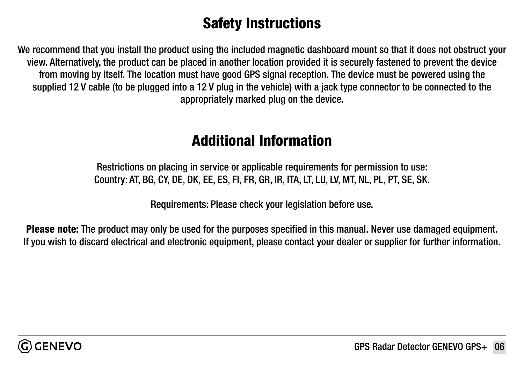## Safety Instructions

We recommend that you install the product using the included magnetic dashboard mount so that it does not obstruct your view. Alternatively, the product can be placed in another location provided it is securely fastened to prevent the device from moving by itself. The location must have good GPS signal reception. The device must be powered using the supplied 12 V cable (to be plugged into a 12 V plug in the vehicle) with a jack type connector to be connected to the appropriately marked plug on the device.

#### Additional Information

Restrictions on placing in service or applicable requirements for permission to use: Country: AT, BG, CY, DE, DK, EE, ES, FI, FR, GR, IR, ITA, LT, LU, LV, MT, NL, PL, PT, SE, SK.

Requirements: Please check your legislation before use.

Please note: The product may only be used for the purposes specified in this manual. Never use damaged equipment. If you wish to discard electrical and electronic equipment, please contact your dealer or supplier for further information.